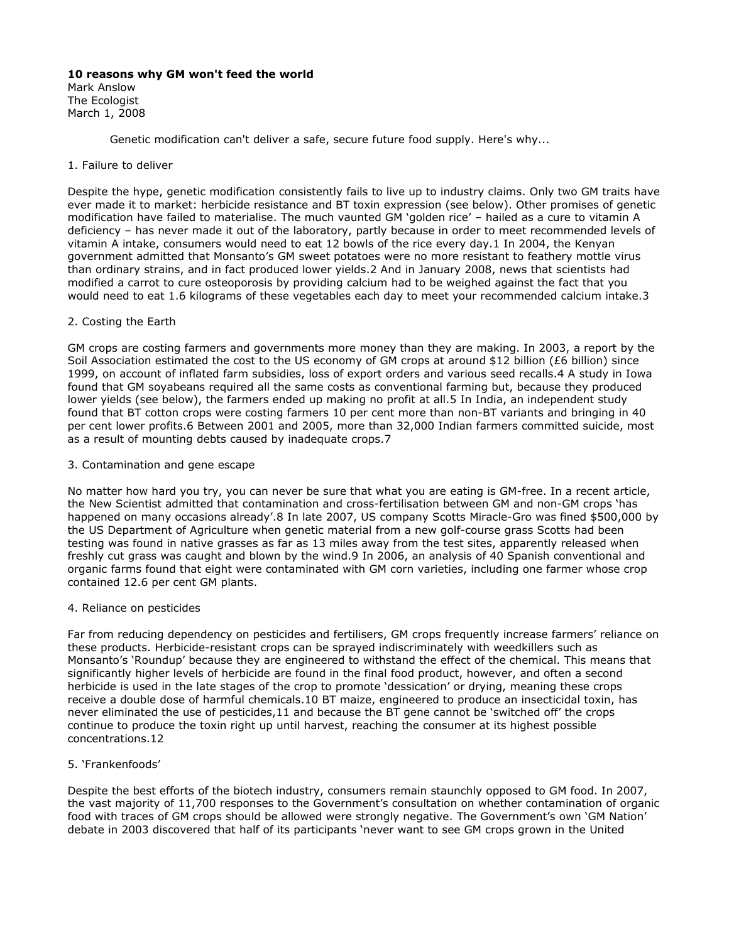# **10 reasons why GM won't feed the world**

Mark Anslow The Ecologist March 1, 2008

Genetic modification can't deliver a safe, secure future food supply. Here's why...

### 1. Failure to deliver

Despite the hype, genetic modification consistently fails to live up to industry claims. Only two GM traits have ever made it to market: herbicide resistance and BT toxin expression (see below). Other promises of genetic modification have failed to materialise. The much vaunted GM 'golden rice' – hailed as a cure to vitamin A deficiency – has never made it out of the laboratory, partly because in order to meet recommended levels of vitamin A intake, consumers would need to eat 12 bowls of the rice every day.1 In 2004, the Kenyan government admitted that Monsanto's GM sweet potatoes were no more resistant to feathery mottle virus than ordinary strains, and in fact produced lower yields.2 And in January 2008, news that scientists had modified a carrot to cure osteoporosis by providing calcium had to be weighed against the fact that you would need to eat 1.6 kilograms of these vegetables each day to meet your recommended calcium intake.3

# 2. Costing the Earth

GM crops are costing farmers and governments more money than they are making. In 2003, a report by the Soil Association estimated the cost to the US economy of GM crops at around \$12 billion (£6 billion) since 1999, on account of inflated farm subsidies, loss of export orders and various seed recalls.4 A study in Iowa found that GM soyabeans required all the same costs as conventional farming but, because they produced lower yields (see below), the farmers ended up making no profit at all.5 In India, an independent study found that BT cotton crops were costing farmers 10 per cent more than non-BT variants and bringing in 40 per cent lower profits.6 Between 2001 and 2005, more than 32,000 Indian farmers committed suicide, most as a result of mounting debts caused by inadequate crops.7

# 3. Contamination and gene escape

No matter how hard you try, you can never be sure that what you are eating is GM-free. In a recent article, the New Scientist admitted that contamination and cross-fertilisation between GM and non-GM crops 'has happened on many occasions already'.8 In late 2007, US company Scotts Miracle-Gro was fined \$500,000 by the US Department of Agriculture when genetic material from a new golf-course grass Scotts had been testing was found in native grasses as far as 13 miles away from the test sites, apparently released when freshly cut grass was caught and blown by the wind.9 In 2006, an analysis of 40 Spanish conventional and organic farms found that eight were contaminated with GM corn varieties, including one farmer whose crop contained 12.6 per cent GM plants.

### 4. Reliance on pesticides

Far from reducing dependency on pesticides and fertilisers, GM crops frequently increase farmers' reliance on these products. Herbicide-resistant crops can be sprayed indiscriminately with weedkillers such as Monsanto's 'Roundup' because they are engineered to withstand the effect of the chemical. This means that significantly higher levels of herbicide are found in the final food product, however, and often a second herbicide is used in the late stages of the crop to promote 'dessication' or drying, meaning these crops receive a double dose of harmful chemicals.10 BT maize, engineered to produce an insecticidal toxin, has never eliminated the use of pesticides,11 and because the BT gene cannot be 'switched off' the crops continue to produce the toxin right up until harvest, reaching the consumer at its highest possible concentrations.12

# 5. 'Frankenfoods'

Despite the best efforts of the biotech industry, consumers remain staunchly opposed to GM food. In 2007, the vast majority of 11,700 responses to the Government's consultation on whether contamination of organic food with traces of GM crops should be allowed were strongly negative. The Government's own 'GM Nation' debate in 2003 discovered that half of its participants 'never want to see GM crops grown in the United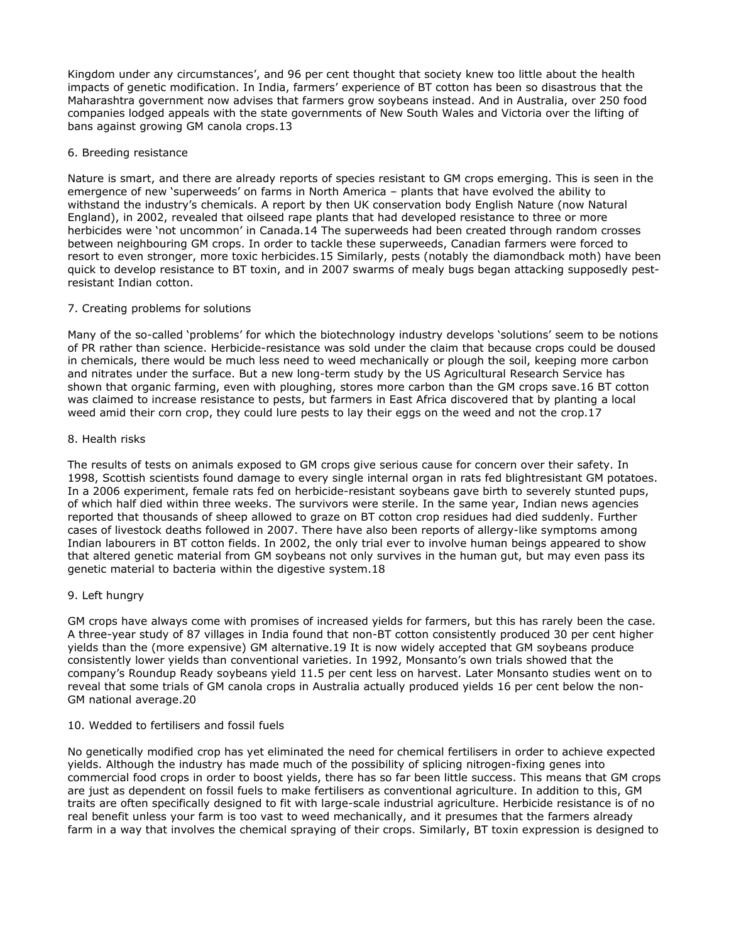Kingdom under any circumstances', and 96 per cent thought that society knew too little about the health impacts of genetic modification. In India, farmers' experience of BT cotton has been so disastrous that the Maharashtra government now advises that farmers grow soybeans instead. And in Australia, over 250 food companies lodged appeals with the state governments of New South Wales and Victoria over the lifting of bans against growing GM canola crops.13

## 6. Breeding resistance

Nature is smart, and there are already reports of species resistant to GM crops emerging. This is seen in the emergence of new 'superweeds' on farms in North America – plants that have evolved the ability to withstand the industry's chemicals. A report by then UK conservation body English Nature (now Natural England), in 2002, revealed that oilseed rape plants that had developed resistance to three or more herbicides were 'not uncommon' in Canada.14 The superweeds had been created through random crosses between neighbouring GM crops. In order to tackle these superweeds, Canadian farmers were forced to resort to even stronger, more toxic herbicides.15 Similarly, pests (notably the diamondback moth) have been quick to develop resistance to BT toxin, and in 2007 swarms of mealy bugs began attacking supposedly pestresistant Indian cotton.

# 7. Creating problems for solutions

Many of the so-called 'problems' for which the biotechnology industry develops 'solutions' seem to be notions of PR rather than science. Herbicide-resistance was sold under the claim that because crops could be doused in chemicals, there would be much less need to weed mechanically or plough the soil, keeping more carbon and nitrates under the surface. But a new long-term study by the US Agricultural Research Service has shown that organic farming, even with ploughing, stores more carbon than the GM crops save.16 BT cotton was claimed to increase resistance to pests, but farmers in East Africa discovered that by planting a local weed amid their corn crop, they could lure pests to lay their eggs on the weed and not the crop.17

### 8. Health risks

The results of tests on animals exposed to GM crops give serious cause for concern over their safety. In 1998, Scottish scientists found damage to every single internal organ in rats fed blightresistant GM potatoes. In a 2006 experiment, female rats fed on herbicide-resistant soybeans gave birth to severely stunted pups, of which half died within three weeks. The survivors were sterile. In the same year, Indian news agencies reported that thousands of sheep allowed to graze on BT cotton crop residues had died suddenly. Further cases of livestock deaths followed in 2007. There have also been reports of allergy-like symptoms among Indian labourers in BT cotton fields. In 2002, the only trial ever to involve human beings appeared to show that altered genetic material from GM soybeans not only survives in the human gut, but may even pass its genetic material to bacteria within the digestive system.18

# 9. Left hungry

GM crops have always come with promises of increased yields for farmers, but this has rarely been the case. A three-year study of 87 villages in India found that non-BT cotton consistently produced 30 per cent higher yields than the (more expensive) GM alternative.19 It is now widely accepted that GM soybeans produce consistently lower yields than conventional varieties. In 1992, Monsanto's own trials showed that the company's Roundup Ready soybeans yield 11.5 per cent less on harvest. Later Monsanto studies went on to reveal that some trials of GM canola crops in Australia actually produced yields 16 per cent below the non-GM national average.20

## 10. Wedded to fertilisers and fossil fuels

No genetically modified crop has yet eliminated the need for chemical fertilisers in order to achieve expected yields. Although the industry has made much of the possibility of splicing nitrogen-fixing genes into commercial food crops in order to boost yields, there has so far been little success. This means that GM crops are just as dependent on fossil fuels to make fertilisers as conventional agriculture. In addition to this, GM traits are often specifically designed to fit with large-scale industrial agriculture. Herbicide resistance is of no real benefit unless your farm is too vast to weed mechanically, and it presumes that the farmers already farm in a way that involves the chemical spraying of their crops. Similarly, BT toxin expression is designed to